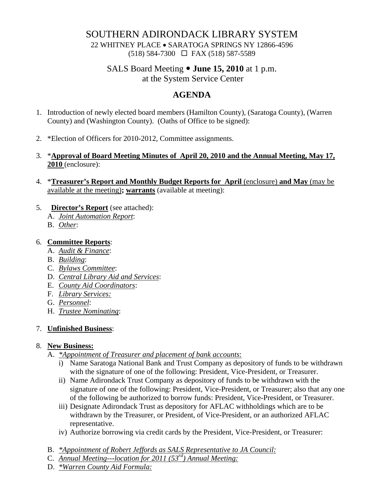## SOUTHERN ADIRONDACK LIBRARY SYSTEM

22 WHITNEY PLACE • SARATOGA SPRINGS NY 12866-4596 (518) 584-7300 FAX (518) 587-5589

# SALS Board Meeting  $\bullet$  **June 15, 2010** at 1 p.m.

at the System Service Center

## **AGENDA**

- 1. Introduction of newly elected board members (Hamilton County), (Saratoga County), (Warren County) and (Washington County). (Oaths of Office to be signed):
- 2. \*Election of Officers for 2010-2012, Committee assignments.
- 3. \***Approval of Board Meeting Minutes of April 20, 2010 and the Annual Meeting, May 17, 2010** (enclosure):
- 4. \***Treasurer's Report and Monthly Budget Reports for April** (enclosure) **and May** (may be available at the meeting)**; warrants** (available at meeting):
- 5. **Director's Report** (see attached):
	- A. *Joint Automation Report*:
	- B. *Other*:

### 6. **Committee Reports**:

- A. *Audit & Finance*:
- B. *Building*:
- C. *Bylaws Committee*:
- D. *Central Library Aid and Services*:
- E. *County Aid Coordinators*:
- F. *Library Services:*
- G. *Personnel*:
- H. *Trustee Nominating*:

#### 7. **Unfinished Business**:

#### 8. **New Business:**

- A. *\*Appointment of Treasurer and placement of bank accounts*:
	- i) Name Saratoga National Bank and Trust Company as depository of funds to be withdrawn with the signature of one of the following: President, Vice-President, or Treasurer.
	- ii) Name Adirondack Trust Company as depository of funds to be withdrawn with the signature of one of the following: President, Vice-President, or Treasurer; also that any one of the following be authorized to borrow funds: President, Vice-President, or Treasurer.
	- iii) Designate Adirondack Trust as depository for AFLAC withholdings which are to be withdrawn by the Treasurer, or President, of Vice-President, or an authorized AFLAC representative.
	- iv) Authorize borrowing via credit cards by the President, Vice-President, or Treasurer:
- B. *\*Appointment of Robert Jeffords as SALS Representative to JA Council:*
- C. *Annual Meeting---location for 2011 (53rd) Annual Meeting:*
- D. *\*Warren County Aid Formula:*